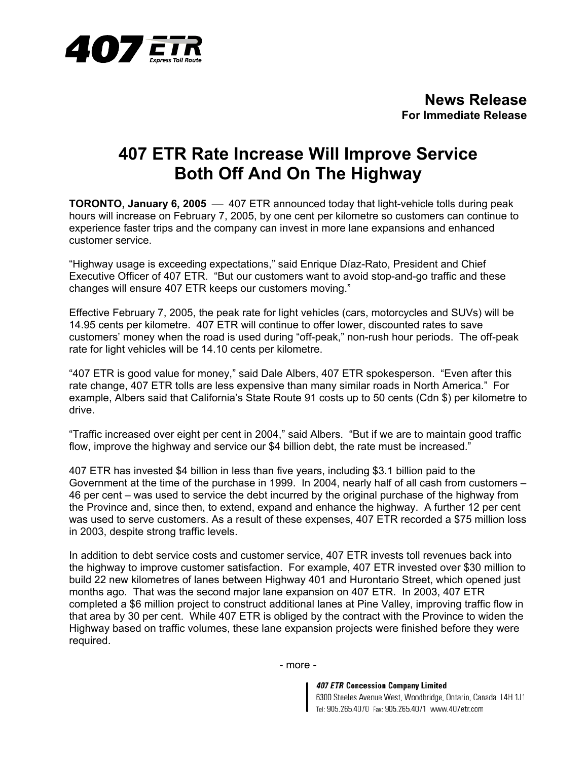

## **407 ETR Rate Increase Will Improve Service Both Off And On The Highway**

**TORONTO, January 6, 2005** - 407 ETR announced today that light-vehicle tolls during peak hours will increase on February 7, 2005, by one cent per kilometre so customers can continue to experience faster trips and the company can invest in more lane expansions and enhanced customer service.

"Highway usage is exceeding expectations," said Enrique Díaz-Rato, President and Chief Executive Officer of 407 ETR. "But our customers want to avoid stop-and-go traffic and these changes will ensure 407 ETR keeps our customers moving."

Effective February 7, 2005, the peak rate for light vehicles (cars, motorcycles and SUVs) will be 14.95 cents per kilometre. 407 ETR will continue to offer lower, discounted rates to save customers' money when the road is used during "off-peak," non-rush hour periods. The off-peak rate for light vehicles will be 14.10 cents per kilometre.

"407 ETR is good value for money," said Dale Albers, 407 ETR spokesperson. "Even after this rate change, 407 ETR tolls are less expensive than many similar roads in North America." For example, Albers said that California's State Route 91 costs up to 50 cents (Cdn \$) per kilometre to drive.

"Traffic increased over eight per cent in 2004," said Albers. "But if we are to maintain good traffic flow, improve the highway and service our \$4 billion debt, the rate must be increased."

407 ETR has invested \$4 billion in less than five years, including \$3.1 billion paid to the Government at the time of the purchase in 1999. In 2004, nearly half of all cash from customers – 46 per cent – was used to service the debt incurred by the original purchase of the highway from the Province and, since then, to extend, expand and enhance the highway. A further 12 per cent was used to serve customers. As a result of these expenses, 407 ETR recorded a \$75 million loss in 2003, despite strong traffic levels.

In addition to debt service costs and customer service, 407 ETR invests toll revenues back into the highway to improve customer satisfaction. For example, 407 ETR invested over \$30 million to build 22 new kilometres of lanes between Highway 401 and Hurontario Street, which opened just months ago. That was the second major lane expansion on 407 ETR. In 2003, 407 ETR completed a \$6 million project to construct additional lanes at Pine Valley, improving traffic flow in that area by 30 per cent. While 407 ETR is obliged by the contract with the Province to widen the Highway based on traffic volumes, these lane expansion projects were finished before they were required.

**407 ETR Concession Company Limited** 6300 Steeles Avenue West, Woodbridge, Ontario, Canada L4H 1J1 Tel: 905.265.4070 Fax: 905.265.4071 www.407etr.com